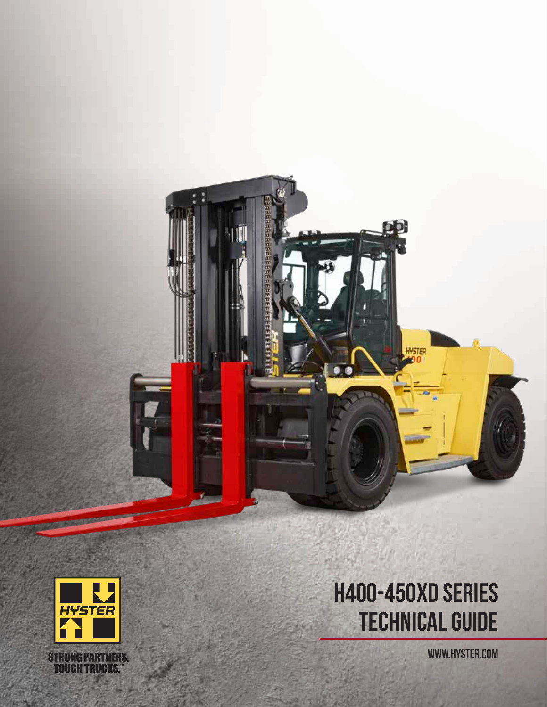



# TECHNICAL GUIDE H400-450XD SERIES

WWW.HYSTER.COM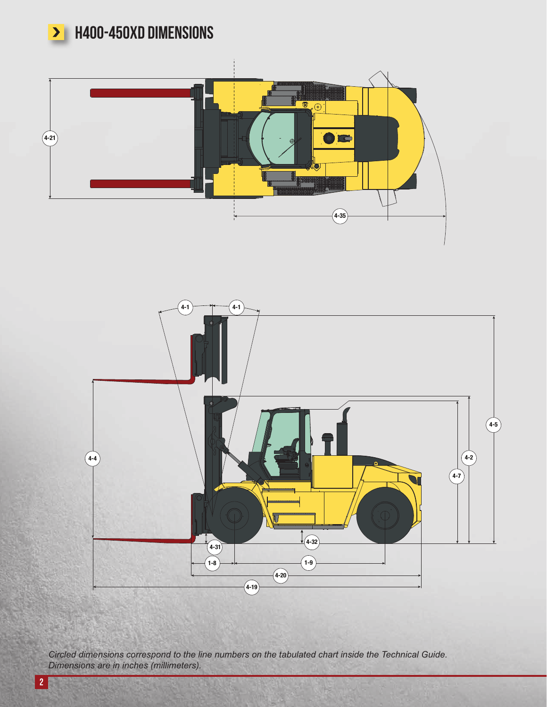

**>** H400-450XD DIMENSIONS





*Circled dimensions correspond to the line numbers on the tabulated chart inside the Technical Guide. Dimensions are in inches (millimeters).*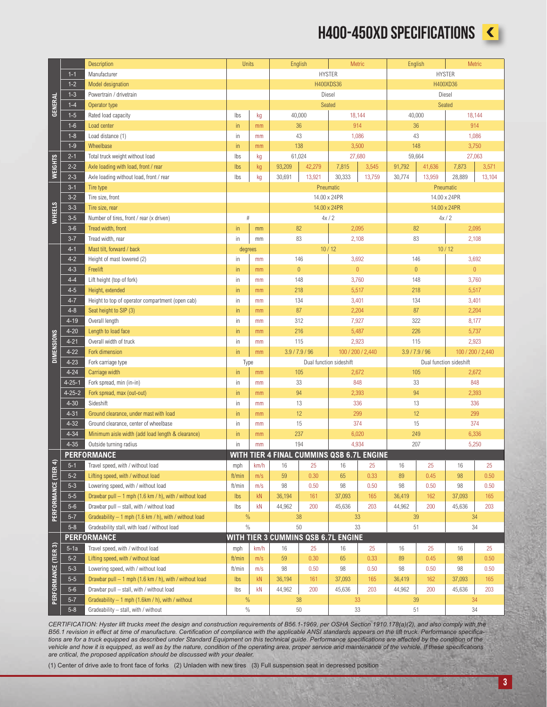### H400-450XD SPECIFICATIONS



|                             |                                                                                                                                                                                                                                                                                                                                                                                                                                                                                                                                                                                                                                                                                                                                                     | <b>Description</b>                                                          | Units         |          | English                                   |               | Metric                    |        | English        |               | Metric                  |                |
|-----------------------------|-----------------------------------------------------------------------------------------------------------------------------------------------------------------------------------------------------------------------------------------------------------------------------------------------------------------------------------------------------------------------------------------------------------------------------------------------------------------------------------------------------------------------------------------------------------------------------------------------------------------------------------------------------------------------------------------------------------------------------------------------------|-----------------------------------------------------------------------------|---------------|----------|-------------------------------------------|---------------|---------------------------|--------|----------------|---------------|-------------------------|----------------|
|                             | $1 - 1$                                                                                                                                                                                                                                                                                                                                                                                                                                                                                                                                                                                                                                                                                                                                             | Manufacturer                                                                |               |          |                                           | <b>HYSTER</b> |                           |        |                | <b>HYSTER</b> |                         |                |
|                             | $1 - 2$                                                                                                                                                                                                                                                                                                                                                                                                                                                                                                                                                                                                                                                                                                                                             | <b>Model designation</b>                                                    |               |          |                                           | H400XDS36     |                           |        |                | H400XD36      |                         |                |
|                             | $1 - 3$                                                                                                                                                                                                                                                                                                                                                                                                                                                                                                                                                                                                                                                                                                                                             | Powertrain / drivetrain                                                     |               |          |                                           | Diesel        |                           |        |                |               | Diesel                  |                |
|                             | $1 - 4$                                                                                                                                                                                                                                                                                                                                                                                                                                                                                                                                                                                                                                                                                                                                             | Operator type                                                               |               |          |                                           |               | Seated                    |        |                |               | Seated                  |                |
| <b>GENERAL</b>              | $1 - 5$                                                                                                                                                                                                                                                                                                                                                                                                                                                                                                                                                                                                                                                                                                                                             | Rated load capacity                                                         | Ibs           | kg       | 40,000                                    |               | 18,144                    |        | 40,000         |               | 18,144                  |                |
|                             | $1-6$                                                                                                                                                                                                                                                                                                                                                                                                                                                                                                                                                                                                                                                                                                                                               | Load center                                                                 | in.           | mm       | 36                                        |               | 914                       |        | 36             |               | 914                     |                |
|                             | $1 - 8$                                                                                                                                                                                                                                                                                                                                                                                                                                                                                                                                                                                                                                                                                                                                             | Load distance (1)                                                           | in            | mm       | 43                                        |               | 1,086                     |        | 43             |               | 1,086                   |                |
|                             | $1-9$                                                                                                                                                                                                                                                                                                                                                                                                                                                                                                                                                                                                                                                                                                                                               | Wheelbase                                                                   | in            | mm       | 138                                       |               | 3,500                     |        | 148            |               | 3,750                   |                |
|                             | $2 - 1$                                                                                                                                                                                                                                                                                                                                                                                                                                                                                                                                                                                                                                                                                                                                             | Total truck weight without load                                             | Ibs           | kg       | 61,024                                    |               | 27,680                    |        | 59,664         |               | 27,063                  |                |
|                             | $2 - 2$                                                                                                                                                                                                                                                                                                                                                                                                                                                                                                                                                                                                                                                                                                                                             | Axle loading with load, front / rear                                        | Ibs           | kg       | 93,209                                    | 42,279        | 7,815                     | 3,545  | 91,792         | 41,636        | 7,873                   | 3,571          |
| <b>WEIGHTS</b>              | $2 - 3$                                                                                                                                                                                                                                                                                                                                                                                                                                                                                                                                                                                                                                                                                                                                             | Axle loading without load, front / rear                                     | Ibs           | kg       | 30,691                                    | 13,921        | 30,333                    | 13,759 | 30,774         | 13,959        | 28,889                  | 13,104         |
|                             | $3 - 1$                                                                                                                                                                                                                                                                                                                                                                                                                                                                                                                                                                                                                                                                                                                                             | Tire type                                                                   |               |          |                                           |               |                           |        |                | Pneumatic     |                         |                |
|                             | $3 - 2$                                                                                                                                                                                                                                                                                                                                                                                                                                                                                                                                                                                                                                                                                                                                             |                                                                             |               |          |                                           |               | Pneumatic<br>14.00 x 24PR |        |                | 14.00 x 24PR  |                         |                |
|                             |                                                                                                                                                                                                                                                                                                                                                                                                                                                                                                                                                                                                                                                                                                                                                     | Tire size, front                                                            |               |          |                                           |               |                           |        |                |               |                         |                |
| <b>WHEELS</b>               | $3 - 3$                                                                                                                                                                                                                                                                                                                                                                                                                                                                                                                                                                                                                                                                                                                                             | Tire size, rear                                                             | $\#$          |          | 4x/2                                      |               | 14.00 x 24PR              |        |                | 14.00 x 24PR  |                         |                |
|                             | $3 - 5$                                                                                                                                                                                                                                                                                                                                                                                                                                                                                                                                                                                                                                                                                                                                             | Number of tires, front / rear (x driven)                                    |               |          |                                           |               |                           |        |                | 4x/2          |                         |                |
|                             | $3-6$                                                                                                                                                                                                                                                                                                                                                                                                                                                                                                                                                                                                                                                                                                                                               | Tread width, front                                                          | in.           | mm       | 82                                        |               | 2,095                     |        | 82             |               | 2,095                   |                |
|                             | $3 - 7$                                                                                                                                                                                                                                                                                                                                                                                                                                                                                                                                                                                                                                                                                                                                             | Tread width, rear                                                           | in            | mm       | 83                                        |               | 2,108                     |        | 83             |               | 2,108                   |                |
|                             | $4 - 1$                                                                                                                                                                                                                                                                                                                                                                                                                                                                                                                                                                                                                                                                                                                                             | Mast tilt, forward / back                                                   | degrees       |          | 10/12                                     |               |                           |        |                |               | 10/12                   |                |
|                             | $4 - 2$                                                                                                                                                                                                                                                                                                                                                                                                                                                                                                                                                                                                                                                                                                                                             | Height of mast lowered (2)                                                  | in            | mm       | 146                                       |               | 3,692                     |        | 146            |               | 3,692                   |                |
|                             | $4 - 3$                                                                                                                                                                                                                                                                                                                                                                                                                                                                                                                                                                                                                                                                                                                                             | Freelift                                                                    | in            | mm       | $\overline{0}$                            |               | $\overline{0}$            |        | $\bf 0$        |               |                         | $\overline{0}$ |
|                             | $4 - 4$                                                                                                                                                                                                                                                                                                                                                                                                                                                                                                                                                                                                                                                                                                                                             | Lift height (top of fork)                                                   | in            | mm       | 148                                       |               | 3,760                     |        | 148            |               | 3,760                   |                |
|                             | $4 - 5$                                                                                                                                                                                                                                                                                                                                                                                                                                                                                                                                                                                                                                                                                                                                             | Height, extended                                                            | in.           | mm       | 218                                       |               | 5,517                     |        | 218            |               | 5,517                   |                |
|                             | $4 - 7$                                                                                                                                                                                                                                                                                                                                                                                                                                                                                                                                                                                                                                                                                                                                             | Height to top of operator compartment (open cab)                            | in            | mm       |                                           | 134           |                           | 3,401  |                | 134           | 3,401                   |                |
|                             | $4 - 8$                                                                                                                                                                                                                                                                                                                                                                                                                                                                                                                                                                                                                                                                                                                                             | Seat height to SIP (3)                                                      | in.           | mm       | 87                                        |               | 2,204                     |        | 87             |               | 2,204                   |                |
|                             | $4 - 19$                                                                                                                                                                                                                                                                                                                                                                                                                                                                                                                                                                                                                                                                                                                                            | Overall length                                                              | in            | mm       | 312                                       |               | 7,927                     |        | 322            |               | 8,177                   |                |
|                             | $4 - 20$                                                                                                                                                                                                                                                                                                                                                                                                                                                                                                                                                                                                                                                                                                                                            | Length to load face                                                         | in.           | mm       | 216                                       |               | 5,487                     |        | 226            |               | 5,737                   |                |
|                             | $4 - 21$                                                                                                                                                                                                                                                                                                                                                                                                                                                                                                                                                                                                                                                                                                                                            | Overall width of truck                                                      | in            | mm       | 115                                       |               | 2,923                     |        | 115            |               | 2,923                   |                |
| <b>DIMENSIONS</b>           | $4 - 22$                                                                                                                                                                                                                                                                                                                                                                                                                                                                                                                                                                                                                                                                                                                                            | Fork dimension                                                              | in.           | mm       | 3.9 / 7.9 / 96                            |               | 100 / 200 / 2,440         |        | 3.9 / 7.9 / 96 |               | 100 / 200 / 2,440       |                |
|                             | $4 - 23$                                                                                                                                                                                                                                                                                                                                                                                                                                                                                                                                                                                                                                                                                                                                            | Fork carriage type                                                          | Type          |          | Dual function sideshift                   |               |                           |        |                |               | Dual function sideshift |                |
|                             | $4 - 24$                                                                                                                                                                                                                                                                                                                                                                                                                                                                                                                                                                                                                                                                                                                                            | Carriage width                                                              | in.           | mm       | 105                                       |               | 2,672<br>105<br>33        |        |                | 2,672<br>848  |                         |                |
|                             | 4-25-1                                                                                                                                                                                                                                                                                                                                                                                                                                                                                                                                                                                                                                                                                                                                              | Fork spread, min (in-in)                                                    | in            | mm       | 33                                        |               | 848                       |        |                |               |                         |                |
|                             | $4 - 25 - 2$                                                                                                                                                                                                                                                                                                                                                                                                                                                                                                                                                                                                                                                                                                                                        | Fork spread, max (out-out)                                                  | in.           | mm       | 94                                        |               | 2,393                     |        | 94             |               | 2,393<br>336            |                |
|                             | $4 - 30$                                                                                                                                                                                                                                                                                                                                                                                                                                                                                                                                                                                                                                                                                                                                            | Sideshift                                                                   | in            | mm       | 13                                        |               | 336<br>299                |        | 13             |               |                         |                |
|                             | $4 - 31$                                                                                                                                                                                                                                                                                                                                                                                                                                                                                                                                                                                                                                                                                                                                            | Ground clearance, under mast with load                                      | $\mathsf{in}$ | mm       | 12                                        |               |                           |        | 12             |               | 299                     |                |
|                             | $4 - 32$                                                                                                                                                                                                                                                                                                                                                                                                                                                                                                                                                                                                                                                                                                                                            | Ground clearance, center of wheelbase                                       | in            | mm       | 15                                        |               | 374<br>6,020              |        | 15<br>249      |               | 374<br>6,336            |                |
|                             | $4 - 34$<br>$4 - 35$                                                                                                                                                                                                                                                                                                                                                                                                                                                                                                                                                                                                                                                                                                                                | Minimum aisle width (add load length & clearance)<br>Outside turning radius | in.<br>in     | mm<br>mm | 237<br>194                                |               | 4,934                     |        | 207            |               | 5,250                   |                |
|                             |                                                                                                                                                                                                                                                                                                                                                                                                                                                                                                                                                                                                                                                                                                                                                     | <b>PERFORMANCE</b>                                                          |               |          | WITH TIER 4 FINAL CUMMINS QSB 6.7L ENGINE |               |                           |        |                |               |                         |                |
|                             | $5 - 1$                                                                                                                                                                                                                                                                                                                                                                                                                                                                                                                                                                                                                                                                                                                                             | Travel speed, with / without load                                           |               | km/h     | 16                                        | 25            | 16                        | 25     | 16             | 25            | 16                      | 25             |
|                             | $5 - 2$                                                                                                                                                                                                                                                                                                                                                                                                                                                                                                                                                                                                                                                                                                                                             | Lifting speed, with / without load                                          | mph<br>ft/min | m/s      | 59                                        | 0.30          | 65                        | 0.33   | 89             | 0.45          | 98                      | 0.50           |
|                             | $5 - 3$                                                                                                                                                                                                                                                                                                                                                                                                                                                                                                                                                                                                                                                                                                                                             | Lowering speed, with / without load                                         | ft/min        | m/s      | 98                                        | 0.50          | 98                        | 0.50   | 98             | 0.50          | 98                      | 0.50           |
|                             | $5 - 5$                                                                                                                                                                                                                                                                                                                                                                                                                                                                                                                                                                                                                                                                                                                                             | Drawbar pull - 1 mph (1.6 km / h), with / without load                      | <b>lbs</b>    | kN       | 36,194                                    | 161           | 37,093                    | 165    | 36,419         | 162           | 37,093                  | 165            |
| PERFORMANCE (TIER 4)        | $5-6$                                                                                                                                                                                                                                                                                                                                                                                                                                                                                                                                                                                                                                                                                                                                               | Drawbar pull - stall, with / without load                                   | lbs           | kN       | 44,962                                    | 200           | 45,636                    | 203    | 44,962         | 200           | 45,636                  | 203            |
|                             | $5 - 7$                                                                                                                                                                                                                                                                                                                                                                                                                                                                                                                                                                                                                                                                                                                                             | Gradeability - 1 mph (1.6 km / h), with / without load                      | %             |          | 38                                        |               | 33                        |        | 39             |               |                         |                |
|                             | $5 - 8$                                                                                                                                                                                                                                                                                                                                                                                                                                                                                                                                                                                                                                                                                                                                             | Gradeability stall, with load / without load                                | $\%$          |          | 50                                        |               | 33                        |        | 51             |               | 34<br>34                |                |
|                             |                                                                                                                                                                                                                                                                                                                                                                                                                                                                                                                                                                                                                                                                                                                                                     | <b>PERFORMANCE</b>                                                          |               |          | WITH TIER 3 CUMMINS QSB 6.7L ENGINE       |               |                           |        |                |               |                         |                |
|                             | $5-1a$                                                                                                                                                                                                                                                                                                                                                                                                                                                                                                                                                                                                                                                                                                                                              | Travel speed, with / without load                                           | mph           | km/h     | 16                                        | 25            | 16                        | 25     | 16             | 25            | 16                      | 25             |
|                             | $5 - 2$                                                                                                                                                                                                                                                                                                                                                                                                                                                                                                                                                                                                                                                                                                                                             | Lifting speed, with / without load                                          | ft/min        | m/s      | 59                                        | 0.30          | 65                        | 0.33   | 89             | 0.45          | 98                      | 0.50           |
|                             | $5 - 3$                                                                                                                                                                                                                                                                                                                                                                                                                                                                                                                                                                                                                                                                                                                                             | Lowering speed, with / without load                                         | ft/min        | m/s      | 98                                        | 0.50          | 98                        | 0.50   | 98             | 0.50          | 98                      | 0.50           |
|                             | $5-5$                                                                                                                                                                                                                                                                                                                                                                                                                                                                                                                                                                                                                                                                                                                                               | Drawbar pull - 1 mph (1.6 km / h), with / without load                      | Ibs           | kN       | 36,194                                    | 161           | 37,093                    | 165    | 36,419         | 162           | 37,093                  | 165            |
|                             | $5-6$                                                                                                                                                                                                                                                                                                                                                                                                                                                                                                                                                                                                                                                                                                                                               | Drawbar pull - stall, with / without load                                   | Ibs           | kN       | 44,962                                    | 200           | 45,636                    | 203    | 44,962         | 200           | 45,636                  | 203            |
| <b>PERFORMANCE (TIER 3)</b> | $5 - 7$                                                                                                                                                                                                                                                                                                                                                                                                                                                                                                                                                                                                                                                                                                                                             | Gradeability - 1 mph (1.6km / h), with / without                            | $\%$          |          | 38                                        |               | 33                        |        | 39             |               | 34                      |                |
|                             | $5 - 8$                                                                                                                                                                                                                                                                                                                                                                                                                                                                                                                                                                                                                                                                                                                                             | Gradeability - stall, with / without                                        | $\%$          |          | 50                                        |               | 33                        |        | 51             |               | 34                      |                |
|                             |                                                                                                                                                                                                                                                                                                                                                                                                                                                                                                                                                                                                                                                                                                                                                     |                                                                             |               |          |                                           |               |                           |        |                |               |                         |                |
|                             | CERTIFICATION: Hyster lift trucks meet the design and construction requirements of B56.1-1969, per OSHA Section 1910.178(a)(2), and also comply with the<br>B56.1 revision in effect at time of manufacture. Certification of compliance with the applicable ANSI standards appears on the lift truck. Performance specifica-<br>tions are for a truck equipped as described under Standard Equipment on this technical guide. Performance specifications are affected by the condition of the<br>vehicle and how it is equipped, as well as by the nature, condition of the operating area, proper service and maintenance of the vehicle. If these specifications<br>are critical, the proposed application should be discussed with your dealer. |                                                                             |               |          |                                           |               |                           |        |                |               |                         |                |

(1) Center of drive axle to front face of forks (2) Unladen with new tires (3) Full suspension seat in depressed position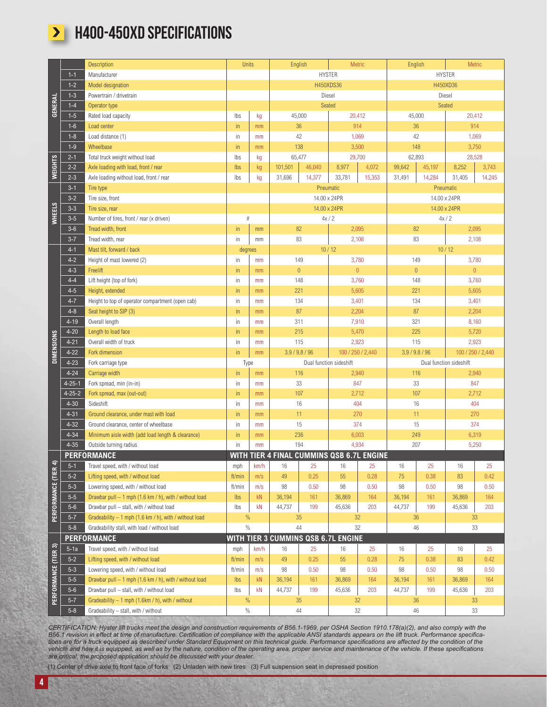

### **> H400-450XD SPECIFICATIONS**

|                      |                      | Description                                                                                                                                                                                                                                                                                                                                                                                                                                                                                                                                                                                                                                                                                                                                         | Units         |               | English                                   |        | Metric                  |        | English        |           | Metric                  |        |
|----------------------|----------------------|-----------------------------------------------------------------------------------------------------------------------------------------------------------------------------------------------------------------------------------------------------------------------------------------------------------------------------------------------------------------------------------------------------------------------------------------------------------------------------------------------------------------------------------------------------------------------------------------------------------------------------------------------------------------------------------------------------------------------------------------------------|---------------|---------------|-------------------------------------------|--------|-------------------------|--------|----------------|-----------|-------------------------|--------|
|                      | $1 - 1$              | Manufacturer                                                                                                                                                                                                                                                                                                                                                                                                                                                                                                                                                                                                                                                                                                                                        |               | <b>HYSTER</b> |                                           |        |                         |        |                |           | <b>HYSTER</b>           |        |
|                      | $1 - 2$              | <b>Model designation</b>                                                                                                                                                                                                                                                                                                                                                                                                                                                                                                                                                                                                                                                                                                                            |               |               |                                           |        | H450XDS36               |        |                | H450XD36  |                         |        |
|                      | $1 - 3$              | Powertrain / drivetrain                                                                                                                                                                                                                                                                                                                                                                                                                                                                                                                                                                                                                                                                                                                             |               |               |                                           |        | Diesel                  |        |                |           | Diesel                  |        |
| <b>GENERAL</b>       | $1 - 4$              | Operator type                                                                                                                                                                                                                                                                                                                                                                                                                                                                                                                                                                                                                                                                                                                                       |               |               |                                           |        | Seated                  |        |                |           | Seated                  |        |
|                      | $1-5$                | Rated load capacity                                                                                                                                                                                                                                                                                                                                                                                                                                                                                                                                                                                                                                                                                                                                 | Ibs           | kg            | 45,000                                    |        | 20,412                  |        | 45,000         |           | 20,412                  |        |
|                      | $1-6$                | Load center                                                                                                                                                                                                                                                                                                                                                                                                                                                                                                                                                                                                                                                                                                                                         | in.           | mm            | 36                                        |        | 914                     |        | 36             |           | 914                     |        |
|                      | $1 - 8$              | Load distance (1)                                                                                                                                                                                                                                                                                                                                                                                                                                                                                                                                                                                                                                                                                                                                   | in            | mm            | 42                                        |        | 1,069                   |        | 42             |           | 1,069                   |        |
|                      | $1-9$                | Wheelbase                                                                                                                                                                                                                                                                                                                                                                                                                                                                                                                                                                                                                                                                                                                                           | in.           | mm            | 138                                       |        | 3,500                   |        | 148            |           | 3,750                   |        |
|                      | $2 - 1$              | Total truck weight without load                                                                                                                                                                                                                                                                                                                                                                                                                                                                                                                                                                                                                                                                                                                     | Ibs           | kg            | 65,477                                    |        | 29,700                  |        | 62,893         |           | 28,528                  |        |
| <b>WEIGHTS</b>       | $2 - 2$              | Axle loading with load, front / rear                                                                                                                                                                                                                                                                                                                                                                                                                                                                                                                                                                                                                                                                                                                | Ibs           | kg            | 101,501                                   | 46,040 | 8,977                   | 4,072  | 99,642         | 45,197    | 8,252                   | 3,743  |
|                      | $2 - 3$              | Axle loading without load, front / rear                                                                                                                                                                                                                                                                                                                                                                                                                                                                                                                                                                                                                                                                                                             | Ibs           | kg            | 31,696                                    | 14,377 | 33,781                  | 15,353 | 31,491         | 14,284    | 31,405                  | 14,245 |
|                      | $3 - 1$              | Tire type                                                                                                                                                                                                                                                                                                                                                                                                                                                                                                                                                                                                                                                                                                                                           |               |               |                                           |        | Pneumatic               |        |                | Pneumatic |                         |        |
|                      | $3 - 2$              | Tire size, front                                                                                                                                                                                                                                                                                                                                                                                                                                                                                                                                                                                                                                                                                                                                    |               |               |                                           |        | 14.00 x 24PR            |        |                |           | 14.00 x 24PR            |        |
| <b>WHEELS</b>        | $3 - 3$              | Tire size, rear                                                                                                                                                                                                                                                                                                                                                                                                                                                                                                                                                                                                                                                                                                                                     |               |               |                                           |        | 14.00 x 24PR            |        |                |           | 14.00 x 24PR            |        |
|                      | $3-5$                | Number of tires, front / rear (x driven)                                                                                                                                                                                                                                                                                                                                                                                                                                                                                                                                                                                                                                                                                                            | $\#$          |               |                                           | 4x/2   |                         |        |                | 4x/2      |                         |        |
|                      | $3-6$                | Tread width, front                                                                                                                                                                                                                                                                                                                                                                                                                                                                                                                                                                                                                                                                                                                                  | in            | mm            | 82<br>83                                  |        | 2,095                   |        | 82             |           | 2,095                   |        |
|                      | $3 - 7$<br>$4 - 1$   | Tread width, rear<br>Mast tilt, forward / back                                                                                                                                                                                                                                                                                                                                                                                                                                                                                                                                                                                                                                                                                                      | in            | mm            |                                           |        | 2,108                   |        | 83             | 10/12     | 2,108                   |        |
|                      | $4 - 2$              | Height of mast lowered (2)                                                                                                                                                                                                                                                                                                                                                                                                                                                                                                                                                                                                                                                                                                                          | degrees<br>in | mm            | 10/12                                     |        | 3,780                   |        | 149            |           | 3,780                   |        |
|                      | $4 - 3$              | Freelift                                                                                                                                                                                                                                                                                                                                                                                                                                                                                                                                                                                                                                                                                                                                            | in.           | mm            | 149<br>$\bf 0$                            |        | $\overline{0}$          |        | $\mathbf 0$    |           | $\overline{0}$          |        |
|                      | $4 - 4$              | Lift height (top of fork)                                                                                                                                                                                                                                                                                                                                                                                                                                                                                                                                                                                                                                                                                                                           | in            | mm            | 148                                       |        |                         |        | 148            |           | 3,760                   |        |
|                      | $4 - 5$              | Height, extended                                                                                                                                                                                                                                                                                                                                                                                                                                                                                                                                                                                                                                                                                                                                    | in.           | mm            | 221                                       |        | 3,760<br>5,605          |        | 221            |           | 5,605                   |        |
|                      | $4 - 7$              | Height to top of operator compartment (open cab)                                                                                                                                                                                                                                                                                                                                                                                                                                                                                                                                                                                                                                                                                                    | in            | mm            | 134                                       |        | 3,401                   |        | 134            |           | 3,401                   |        |
|                      | $4 - 8$              | Seat height to SIP (3)                                                                                                                                                                                                                                                                                                                                                                                                                                                                                                                                                                                                                                                                                                                              | in.           | mm            | 87                                        |        | 2,204                   |        | 87             |           | 2,204                   |        |
|                      | $4 - 19$             | Overall length                                                                                                                                                                                                                                                                                                                                                                                                                                                                                                                                                                                                                                                                                                                                      | in            | mm            | 311                                       |        | 7,910                   |        | 321            |           | 8,160                   |        |
|                      | $4 - 20$             | Length to load face                                                                                                                                                                                                                                                                                                                                                                                                                                                                                                                                                                                                                                                                                                                                 | in            | mm            | 215                                       |        | 5,470                   |        | 225            |           | 5,720                   |        |
|                      | $4 - 21$             | Overall width of truck                                                                                                                                                                                                                                                                                                                                                                                                                                                                                                                                                                                                                                                                                                                              | in            | mm            | 115                                       |        | 2,923                   |        | 115            |           | 2,923                   |        |
| <b>DIMENSIONS</b>    | $4 - 22$             | Fork dimension                                                                                                                                                                                                                                                                                                                                                                                                                                                                                                                                                                                                                                                                                                                                      | in            | mm            | 3.9 / 9.8 / 96                            |        | 100 / 250 / 2,440       |        | 3.9 / 9.8 / 96 |           | 100 / 250 / 2,440       |        |
|                      | $4 - 23$             | Fork carriage type                                                                                                                                                                                                                                                                                                                                                                                                                                                                                                                                                                                                                                                                                                                                  | Type          |               |                                           |        | Dual function sideshift |        |                |           | Dual function sideshift |        |
|                      | $4 - 24$             | Carriage width                                                                                                                                                                                                                                                                                                                                                                                                                                                                                                                                                                                                                                                                                                                                      | in.           | mm            | 116                                       |        | 2,940                   |        | 116            |           | 2,940                   |        |
|                      | $4 - 25 - 1$         | Fork spread, min (in-in)                                                                                                                                                                                                                                                                                                                                                                                                                                                                                                                                                                                                                                                                                                                            | in            | mm            | 33                                        |        | 847<br>33               |        |                | 847       |                         |        |
|                      | $4 - 25 - 2$         | Fork spread, max (out-out)                                                                                                                                                                                                                                                                                                                                                                                                                                                                                                                                                                                                                                                                                                                          | in.           | mm            | 107                                       |        | 2,712                   |        | 107            |           | 2,712                   |        |
|                      | $4 - 30$             | Sideshift                                                                                                                                                                                                                                                                                                                                                                                                                                                                                                                                                                                                                                                                                                                                           | in.           | mm            | 16                                        |        | 404                     |        |                | 16        | 404                     |        |
|                      | $4 - 31$             | Ground clearance, under mast with load                                                                                                                                                                                                                                                                                                                                                                                                                                                                                                                                                                                                                                                                                                              | in.           | mm            | 11                                        |        | 270<br>374              |        | 11             |           | 270<br>374              |        |
|                      | $4 - 32$<br>$4 - 34$ | Ground clearance, center of wheelbase                                                                                                                                                                                                                                                                                                                                                                                                                                                                                                                                                                                                                                                                                                               | in            | mm            | 15                                        |        | 6,003                   |        | 15<br>249      |           | 6,319                   |        |
|                      | $4 - 35$             | Minimum aisle width (add load length & clearance)<br>Outside turning radius                                                                                                                                                                                                                                                                                                                                                                                                                                                                                                                                                                                                                                                                         | in.<br>in     | mm<br>mm      | 236<br>194                                |        | 4,934                   |        | 207            |           | 5,250                   |        |
|                      |                      | <b>PERFORMANCE</b>                                                                                                                                                                                                                                                                                                                                                                                                                                                                                                                                                                                                                                                                                                                                  |               |               | WITH TIER 4 FINAL CUMMINS QSB 6.7L ENGINE |        |                         |        |                |           |                         |        |
|                      | $5 - 1$              | Travel speed, with / without load                                                                                                                                                                                                                                                                                                                                                                                                                                                                                                                                                                                                                                                                                                                   | mph           | km/h          | 16                                        | 25     | 16                      | 25     | 16             | 25        | 16                      | 25     |
|                      | $5 - 2$              | Lifting speed, with / without load                                                                                                                                                                                                                                                                                                                                                                                                                                                                                                                                                                                                                                                                                                                  | ft/min        | m/s           | 49                                        | 0.25   | 55                      | 0.28   | 75             | 0.38      | 83                      | 0.42   |
|                      | $5 - 3$              | Lowering speed, with / without load                                                                                                                                                                                                                                                                                                                                                                                                                                                                                                                                                                                                                                                                                                                 | ft/min        | m/s           | 98                                        | 0.50   | 98                      | 0.50   | 98             | 0.50      | 98                      | 0.50   |
|                      | $5-5$                | Drawbar pull - 1 mph (1.6 km / h), with / without load                                                                                                                                                                                                                                                                                                                                                                                                                                                                                                                                                                                                                                                                                              | Ibs           | kN            | 36,194                                    | 161    | 36,869                  | 164    | 36,194         | 161       | 36,869                  | 164    |
| PERFORMANCE (TIER 4) | $5-6$                | Drawbar pull - stall, with / without load                                                                                                                                                                                                                                                                                                                                                                                                                                                                                                                                                                                                                                                                                                           | Ibs           | kN            | 44,737                                    | 199    | 45,636                  | 203    | 44,737         | 199       | 45,636                  | 203    |
|                      | $5 - 7$              | Gradeability - 1 mph (1.6 km / h), with / without load                                                                                                                                                                                                                                                                                                                                                                                                                                                                                                                                                                                                                                                                                              | $\%$          |               | 35                                        |        | 32                      |        | 36             |           | 33                      |        |
|                      | $5 - 8$              | Gradeability stall, with load / without load                                                                                                                                                                                                                                                                                                                                                                                                                                                                                                                                                                                                                                                                                                        | $\%$          |               | 44                                        |        | 32                      |        | 46             |           | 33                      |        |
|                      |                      | <b>PERFORMANCE</b>                                                                                                                                                                                                                                                                                                                                                                                                                                                                                                                                                                                                                                                                                                                                  |               |               | WITH TIER 3 CUMMINS QSB 6.7L ENGINE       |        |                         |        |                |           |                         |        |
|                      | $5-1a$               | Travel speed, with / without load                                                                                                                                                                                                                                                                                                                                                                                                                                                                                                                                                                                                                                                                                                                   | mph           | km/h          | 16                                        | 25     | 16                      | 25     | 16             | 25        | 16                      | 25     |
|                      | $5 - 2$              | Lifting speed, with / without load                                                                                                                                                                                                                                                                                                                                                                                                                                                                                                                                                                                                                                                                                                                  | ft/min        | m/s           | 49                                        | 0.25   | 55                      | 0.28   | 75             | 0.38      | 83                      | 0.42   |
|                      | $5 - 3$              | Lowering speed, with / without load                                                                                                                                                                                                                                                                                                                                                                                                                                                                                                                                                                                                                                                                                                                 | ft/min        | m/s           | 98                                        | 0.50   | 98                      | 0.50   | 98             | 0.50      | 98                      | 0.50   |
|                      | $5-5$                | Drawbar pull - 1 mph (1.6 km / h), with / without load                                                                                                                                                                                                                                                                                                                                                                                                                                                                                                                                                                                                                                                                                              | Ibs           | kN            | 36,194                                    | 161    | 36,869                  | 164    | 36,194         | 161       | 36,869                  | 164    |
| PERFORMANCE (TIER 3) | $5-6$                | Drawbar pull - stall, with / without load                                                                                                                                                                                                                                                                                                                                                                                                                                                                                                                                                                                                                                                                                                           | lbs           | kN            | 44,737                                    | 199    | 45,636                  | 203    | 44,737         | 199       | 45,636                  | 203    |
|                      | $5 - 7$              | Gradeability - 1 mph (1.6km / h), with / without                                                                                                                                                                                                                                                                                                                                                                                                                                                                                                                                                                                                                                                                                                    | %             |               | 35                                        |        | 32                      |        | 36             |           | 33                      |        |
|                      | $5 - 8$              | Gradeability - stall, with / without                                                                                                                                                                                                                                                                                                                                                                                                                                                                                                                                                                                                                                                                                                                | $\%$          |               | 44                                        |        | 32                      |        | 46             |           | 33                      |        |
|                      |                      | CERTIFICATION: Hyster lift trucks meet the design and construction requirements of B56.1-1969, per OSHA Section 1910.178(a)(2), and also comply with the<br>B56.1 revision in effect at time of manufacture. Certification of compliance with the applicable ANSI standards appears on the lift truck. Performance specifica-<br>tions are for a truck equipped as described under Standard Equipment on this technical guide. Performance specifications are affected by the condition of the<br>vehicle and how it is equipped, as well as by the nature, condition of the operating area, proper service and maintenance of the vehicle. If these specifications<br>are critical, the proposed application should be discussed with your dealer. |               |               |                                           |        |                         |        |                |           |                         |        |

(1) Center of drive axle to front face of forks (2) Unladen with new tires (3) Full suspension seat in depressed position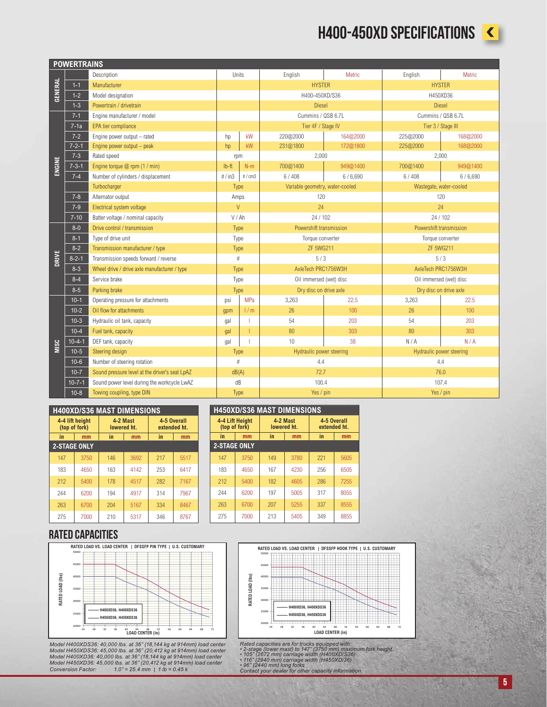### H400-450XD SPECIFICATIONS



|         | <b>POWERTRAINS</b> |                                                |         |       |                          |                                 |                          |                         |  |  |
|---------|--------------------|------------------------------------------------|---------|-------|--------------------------|---------------------------------|--------------------------|-------------------------|--|--|
|         |                    | Description                                    | Units   |       | English                  | Metric                          | English                  | Metric                  |  |  |
|         | $1 - 1$            | Manufacturer                                   |         |       | <b>HYSTER</b>            |                                 | <b>HYSTER</b>            |                         |  |  |
| GENERAL | $1 - 2$            | Model designation                              |         |       | H400-450XD/S36           |                                 | H450XD36                 |                         |  |  |
|         | $1 - 3$            | Powertrain / drivetrain                        |         |       | <b>Diesel</b>            |                                 | <b>Diesel</b>            |                         |  |  |
|         | $7 - 1$            | Engine manufacturer / model                    |         |       | Cummins / QSB 6.7L       |                                 | Cummins / QSB 6.7L       |                         |  |  |
|         | $7-1a$             | EPA tier compliance                            |         |       | Tier 4F / Stage IV       |                                 | Tier 3 / Stage III       |                         |  |  |
|         | $7 - 2$            | Engine power output - rated                    | hp      | kW    | 220@2000                 | 164@2000                        | 225@2000                 | 168@2000                |  |  |
|         | $7 - 2 - 1$        | Engine power output - peak                     | hp      | kW    | 231@1800                 | 172@1800                        | 225@2000                 | 168@2000                |  |  |
|         | $7 - 3$            | Rated speed                                    | rpm     |       | 2,000                    |                                 |                          | 2,000                   |  |  |
| ENGINE  | $7 - 3 - 1$        | Engine torque @ rpm (1 / min)                  | $Ib-ft$ | $N-m$ | 700@1400                 | 949@1400                        | 700@1400                 | 949@1400                |  |  |
|         | $7 - 4$            | Number of cylinders / displacement             | #/in3   | #/cm3 | 6/408                    | 6/6,690                         | 6/408                    | 6/6,690                 |  |  |
|         |                    | Turbocharger                                   | Type    |       |                          | Variable geometry, water-cooled |                          | Wastegate, water-cooled |  |  |
|         | $7 - 8$            | Alternator output                              | Amps    |       | 120                      |                                 | 120                      |                         |  |  |
|         | $7 - 9$            | Electrical system voltage                      | $\vee$  |       | 24                       |                                 | 24                       |                         |  |  |
|         | $7 - 10$           | Batter voltage / nominal capacity              | V/Ah    |       | 24/102                   |                                 | 24 / 102                 |                         |  |  |
|         | $8 - 0$            | Drive control / transmission                   | Type    |       | Powershift transmission  |                                 | Powershift transmission  |                         |  |  |
|         | $8 - 1$            | Type of drive unit                             | Type    |       | Torque converter         |                                 | Torque converter         |                         |  |  |
|         | $8 - 2$            | Transmission manufacturer / type               | Type    |       | ZF 5WG211                |                                 |                          | <b>ZF 5WG211</b>        |  |  |
| DRIVE   | $8 - 2 - 1$        | Transmission speeds forward / reverse          | #       |       | 5/3                      |                                 |                          | 5/3                     |  |  |
|         | $8 - 3$            | Wheel drive / drive axle manufacturer / type   | Type    |       | AxleTech PRC1756W3H      |                                 |                          | AxleTech PRC1756W3H     |  |  |
|         | $8 - 4$            | Service brake                                  | Type    |       | Oil immersed (wet) disc  |                                 | Oil immersed (wet) disc  |                         |  |  |
|         | $8 - 5$            | Parking brake                                  | Type    |       |                          | Dry disc on drive axle          |                          | Dry disc on drive axle  |  |  |
|         | $10-1$             | Operating pressure for attachments             | psi     | MPa   | 3,263                    | 22.5                            | 3,263                    | 22.5                    |  |  |
|         | $10 - 2$           | Oil flow for attachments                       | gpm     | 1/m   | 26                       | 100                             | 26                       | 100                     |  |  |
|         | $10-3$             | Hydraulic oil tank, capacity                   | gal     |       | 54                       | 203                             | 54                       | 203                     |  |  |
|         | $10 - 4$           | Fuel tank, capacity                            | gal     |       | 80                       | 303                             | 80                       | 303                     |  |  |
| MISC    | $10 - 4 - 1$       | DEF tank, capacity                             | gal     |       | 10                       | 38                              | N/A                      | N/A                     |  |  |
|         | $10 - 5$           | Steering design                                | Type    |       | Hydraulic power steering |                                 | Hydraulic power steering |                         |  |  |
|         | $10 - 6$           | Number of steering rotation                    | #       |       | 4.4                      |                                 |                          | 4.4                     |  |  |
|         | $10 - 7$           | Sound pressure level at the driver's seat LpAZ | dB(A)   |       | 72.7                     |                                 |                          | 76.0                    |  |  |
|         | $10 - 7 - 1$       | Sound power level during the workcycle LwAZ    | dB      |       | 100.4                    |                                 |                          | 107.4                   |  |  |
|         | $10 - 8$           | Towing coupling, type DIN                      | Type    |       | Yes / pin                |                                 | Yes / pin                |                         |  |  |

| <b>H400XD/S36 MAST DIMENSIONS</b> |                                  |     |                         |                             |      |  |  |  |  |
|-----------------------------------|----------------------------------|-----|-------------------------|-----------------------------|------|--|--|--|--|
|                                   | 4-4 lift height<br>(top of fork) |     | 4-2 Mast<br>lowered ht. | 4-5 Overall<br>extended ht. |      |  |  |  |  |
| in                                | mm                               | in  | mm                      | in                          | mm   |  |  |  |  |
| <b>2-STAGE ONLY</b>               |                                  |     |                         |                             |      |  |  |  |  |
| 147                               | 3750                             | 146 | 3692                    | 217                         | 5517 |  |  |  |  |
| 183                               | 4650                             | 163 | 4142                    | 253                         | 6417 |  |  |  |  |
| 212                               | 5400                             | 178 | 4517                    | 282                         | 7167 |  |  |  |  |
| 244                               | 6200                             | 194 | 4917                    | 314                         | 7967 |  |  |  |  |
| 263                               | 6700                             | 204 | 5167                    | 334                         | 8467 |  |  |  |  |
| 275                               | 7000                             | 210 | 5317                    | 346                         | 8767 |  |  |  |  |

#### **H450XD/S36 MAST DIMENSIONS**

|     | 4-4 Lift Height<br>(top of fork) | 4-2 Mast<br>lowered ht. |      | 4-5 Overall<br>extended ht. |      |  |  |  |  |  |
|-----|----------------------------------|-------------------------|------|-----------------------------|------|--|--|--|--|--|
| in  | mm                               | in                      | mm   | in                          | mm   |  |  |  |  |  |
|     | <b>2-STAGE ONLY</b>              |                         |      |                             |      |  |  |  |  |  |
| 147 | 3750                             | 149                     | 3780 | 221                         | 5605 |  |  |  |  |  |
| 183 | 4650                             | 167                     | 4230 | 256                         | 6505 |  |  |  |  |  |
| 212 | 5400                             | 182                     | 4605 | 286                         | 7255 |  |  |  |  |  |
| 244 | 6200                             | 197                     | 5005 | 317                         | 8055 |  |  |  |  |  |
| 263 | 6700                             | 207                     | 5255 | 337                         | 8555 |  |  |  |  |  |
| 275 | 7000                             | 213                     | 5405 | 349                         | 8855 |  |  |  |  |  |

#### RATED CAPACITIES



Model H400XDS36: 40,000 lbs. at 36" (18,144 kg at 914mm) load center<br>Model H450XDS36: 45,000 lbs. at 36" (20,412 kg at 914mm) load center<br>Model H450XD36: 40,000 lbs. at 36" (18,144 kg at 914mm) load center<br>Model H450XD36: *Conversion Factor: 1.0" = 25.4 mm | 1 lb = 0.45 k*



Rated capacities are for trucks equipped with:<br>• 2-stage (lower mast) to 147" (3750 mm) maximum fork height<br>• 105" (2672 mm) carriage width (H400XDIS36)<br>• 116" (2940 mm) carriage width (H450XDI36)<br>• 96" (2440 mm) long fork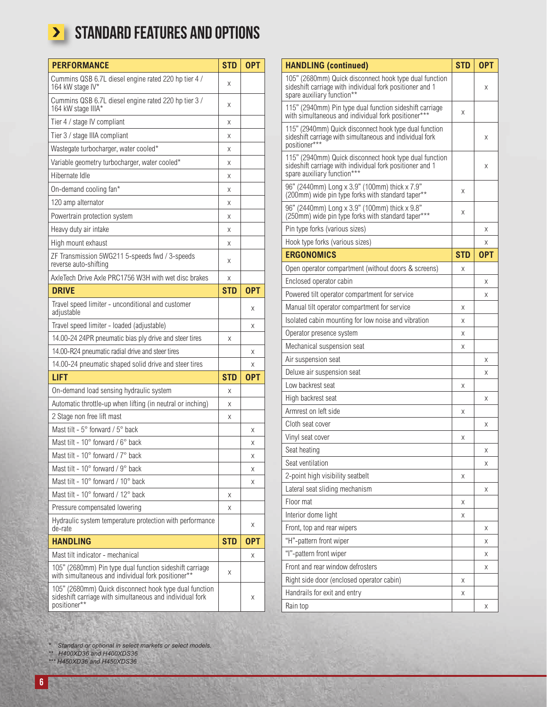## **>** STANDARD FEATURES AND OPTIONS

| <b>PERFORMANCE</b>                                                                                                                 | <b>STD</b> | <b>OPT</b> |
|------------------------------------------------------------------------------------------------------------------------------------|------------|------------|
| Cummins QSB 6.7L diesel engine rated 220 hp tier 4 /<br>164 kW stage IV*                                                           | Χ          |            |
| Cummins QSB 6.7L diesel engine rated 220 hp tier 3 /<br>164 kW stage IIIA*                                                         | Χ          |            |
| Tier 4 / stage IV compliant                                                                                                        | Χ          |            |
| Tier 3 / stage IIIA compliant                                                                                                      | Χ          |            |
| Wastegate turbocharger, water cooled*                                                                                              | Χ          |            |
| Variable geometry turbocharger, water cooled*                                                                                      | Χ          |            |
| Hibernate Idle                                                                                                                     | Χ          |            |
| On-demand cooling fan*                                                                                                             | Χ          |            |
| 120 amp alternator                                                                                                                 | Χ          |            |
| Powertrain protection system                                                                                                       | Χ          |            |
| Heavy duty air intake                                                                                                              | Χ          |            |
| High mount exhaust                                                                                                                 | Χ          |            |
| ZF Transmission 5WG211 5-speeds fwd / 3-speeds<br>reverse auto-shifting                                                            | Χ          |            |
| AxleTech Drive Axle PRC1756 W3H with wet disc brakes                                                                               | Χ          |            |
| <b>DRIVE</b>                                                                                                                       | <b>STD</b> | <b>OPT</b> |
| Travel speed limiter - unconditional and customer<br>adjustable                                                                    |            | Χ          |
| Travel speed limiter - loaded (adjustable)                                                                                         |            | X          |
| 14.00-24 24PR pneumatic bias ply drive and steer tires                                                                             | Χ          |            |
| 14.00-R24 pneumatic radial drive and steer tires                                                                                   |            | Χ          |
| 14.00-24 pneumatic shaped solid drive and steer tires                                                                              |            | X          |
| <b>LIFT</b>                                                                                                                        | <b>STD</b> | <b>OPT</b> |
| On-demand load sensing hydraulic system                                                                                            | Χ          |            |
| Automatic throttle-up when lifting (in neutral or inching)                                                                         | X          |            |
| 2 Stage non free lift mast                                                                                                         | Χ          |            |
| Mast tilt - 5° forward / 5° back                                                                                                   |            | Χ          |
| Mast tilt - 10° forward / 6° back                                                                                                  |            | Χ          |
| Mast tilt - 10° forward / 7° back                                                                                                  |            | Χ          |
| Mast tilt - 10° forward / 9° back                                                                                                  |            | Χ          |
| Mast tilt - 10° forward / 10° back                                                                                                 |            | X          |
| Mast tilt - 10° forward / 12° back                                                                                                 | Χ          |            |
| Pressure compensated lowering                                                                                                      | X          |            |
| Hydraulic system temperature protection with performance<br>de-rate                                                                |            | X          |
| <b>HANDLING</b>                                                                                                                    | <b>STD</b> | <b>OPT</b> |
| Mast tilt indicator - mechanical                                                                                                   |            | X          |
| 105" (2680mm) Pin type dual function sideshift carriage<br>with simultaneous and individual fork positioner**                      | X          |            |
| 105" (2680mm) Quick disconnect hook type dual function<br>sideshift carriage with simultaneous and individual fork<br>positioner** |            | X          |

| <b>HANDLING (continued)</b>                                                                                                                       | <b>STD</b> | <b>OPT</b> |
|---------------------------------------------------------------------------------------------------------------------------------------------------|------------|------------|
| 105" (2680mm) Quick disconnect hook type dual function<br>sideshift carriage with individual fork positioner and 1<br>spare auxiliary function**  |            | X          |
| 115" (2940mm) Pin type dual function sideshift carriage<br>with simultaneous and individual fork positioner***                                    | X          |            |
| 115" (2940mm) Quick disconnect hook type dual function<br>sideshift carriage with simultaneous and individual fork<br>positioner***               |            | Χ          |
| 115" (2940mm) Quick disconnect hook type dual function<br>sideshift carriage with individual fork positioner and 1<br>spare auxiliary function*** |            | X          |
| 96" (2440mm) Long x 3.9" (100mm) thick x 7.9"<br>(200mm) wide pin type forks with standard taper**                                                | X          |            |
| 96" (2440mm) Long x 3.9" (100mm) thick x 9.8"<br>(250mm) wide pin type forks with standard taper***                                               | Χ          |            |
| Pin type forks (various sizes)                                                                                                                    |            | X          |
| Hook type forks (various sizes)                                                                                                                   |            | X          |
| <b>ERGONOMICS</b>                                                                                                                                 | <b>STD</b> | <b>OPT</b> |
| Open operator compartment (without doors & screens)                                                                                               | X          |            |
| Enclosed operator cabin                                                                                                                           |            | Χ          |
| Powered tilt operator compartment for service                                                                                                     |            | X          |
| Manual tilt operator compartment for service                                                                                                      | Χ          |            |
| Isolated cabin mounting for low noise and vibration                                                                                               | X          |            |
| Operator presence system                                                                                                                          | X          |            |
| Mechanical suspension seat                                                                                                                        | X          |            |
| Air suspension seat                                                                                                                               |            | X          |
| Deluxe air suspension seat                                                                                                                        |            | X          |
| Low backrest seat                                                                                                                                 | X          |            |
| High backrest seat                                                                                                                                |            | Χ          |
| Armrest on left side                                                                                                                              | X          |            |
| Cloth seat cover                                                                                                                                  |            | X          |
| Vinyl seat cover                                                                                                                                  | X          |            |
| Seat heating                                                                                                                                      |            | X          |
| Seat ventilation                                                                                                                                  |            | Χ          |
| 2-point high visibility seatbelt                                                                                                                  | Χ          |            |
| Lateral seat sliding mechanism                                                                                                                    |            | Χ          |
| Floor mat                                                                                                                                         | Χ          |            |
| Interior dome light                                                                                                                               | Χ          |            |
| Front, top and rear wipers                                                                                                                        |            | Χ          |
| "H"-pattern front wiper                                                                                                                           |            | Χ          |
| "I"-pattern front wiper                                                                                                                           |            | Χ          |
| Front and rear window defrosters                                                                                                                  |            | Χ          |
| Right side door (enclosed operator cabin)                                                                                                         | X          |            |
| Handrails for exit and entry                                                                                                                      | Χ          |            |
| Rain top                                                                                                                                          |            | Χ          |

*\* Standard or optional in select markets or select models.*

*\*\* H400XD36 and H400XDS36*

*\*\*\* H450XD36 and H450XDS36*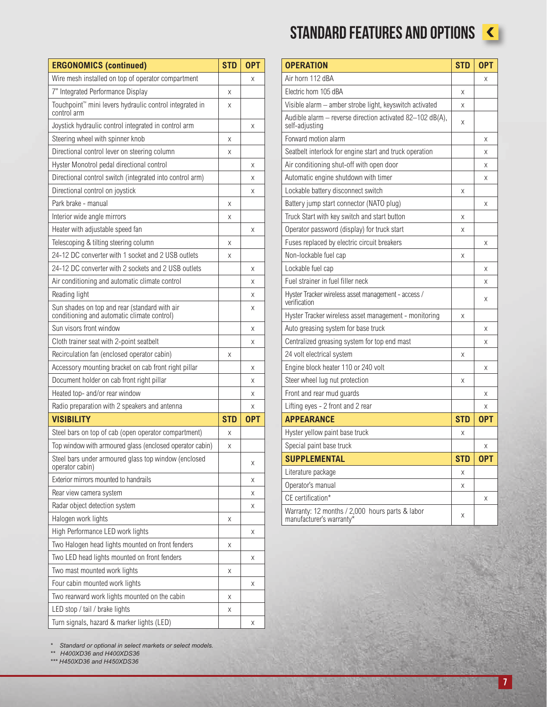| <b>ERGONOMICS (continued)</b>                                                                | <b>STD</b> | <b>OPT</b> |
|----------------------------------------------------------------------------------------------|------------|------------|
| Wire mesh installed on top of operator compartment                                           |            | Χ          |
| 7" Integrated Performance Display                                                            | Χ          |            |
| Touchpoint <sup>™</sup> mini levers hydraulic control integrated in<br>control arm           | X          |            |
| Joystick hydraulic control integrated in control arm                                         |            | Χ          |
| Steering wheel with spinner knob                                                             | Χ          |            |
| Directional control lever on steering column                                                 | X          |            |
| Hyster Monotrol pedal directional control                                                    |            | Χ          |
| Directional control switch (integrated into control arm)                                     |            | X          |
| Directional control on joystick                                                              |            | X          |
| Park brake - manual                                                                          | Χ          |            |
| Interior wide angle mirrors                                                                  | Χ          |            |
| Heater with adjustable speed fan                                                             |            | Χ          |
| Telescoping & tilting steering column                                                        | Χ          |            |
| 24-12 DC converter with 1 socket and 2 USB outlets                                           | X          |            |
| 24-12 DC converter with 2 sockets and 2 USB outlets                                          |            | Χ          |
| Air conditioning and automatic climate control                                               |            | Χ          |
| Reading light                                                                                |            | Χ          |
| Sun shades on top and rear (standard with air<br>conditioning and automatic climate control) |            | Χ          |
| Sun visors front window                                                                      |            | Χ          |
| Cloth trainer seat with 2-point seatbelt                                                     |            | Χ          |
| Recirculation fan (enclosed operator cabin)                                                  | Χ          |            |
| Accessory mounting bracket on cab front right pillar                                         |            | Χ          |
| Document holder on cab front right pillar                                                    |            | Χ          |
| Heated top- and/or rear window                                                               |            | Χ          |
| Radio preparation with 2 speakers and antenna                                                |            | Χ          |
| <b>VISIBILITY</b>                                                                            | <b>STD</b> | <b>OPT</b> |
| Steel bars on top of cab (open operator compartment)                                         | X          |            |
| Top window with armoured glass (enclosed operator cabin)                                     | Χ          |            |
| Steel bars under armoured glass top window (enclosed<br>operator cabin)                      |            | Χ          |
| Exterior mirrors mounted to handrails                                                        |            | Χ          |
| Rear view camera system                                                                      |            | Χ          |
| Radar object detection system                                                                |            | Χ          |
| Halogen work lights                                                                          | Χ          |            |
| High Performance LED work lights                                                             |            | Χ          |
| Two Halogen head lights mounted on front fenders                                             | Χ          |            |
| Two LED head lights mounted on front fenders                                                 |            | Χ          |
| Two mast mounted work lights                                                                 | Χ          |            |
| Four cabin mounted work lights                                                               |            | Χ          |
| Two rearward work lights mounted on the cabin                                                | Χ          |            |
| LED stop / tail / brake lights                                                               | Χ          |            |
| Turn signals, hazard & marker lights (LED)                                                   |            | Χ          |

*\* Standard or optional in select markets or select models.*

*\*\* H400XD36 and H400XDS36 \*\*\* H450XD36 and H450XDS36*

# STANDARD FEATURES AND OPTIONS



| <b>OPERATION</b>                                                            | <b>STD</b> | <b>OPT</b> |
|-----------------------------------------------------------------------------|------------|------------|
| Air horn 112 dBA                                                            |            | Χ          |
| Electric horn 105 dBA                                                       | Χ          |            |
| Visible alarm - amber strobe light, keyswitch activated                     | Χ          |            |
| Audible alarm - reverse direction activated 82-102 dB(A),<br>self-adjusting | Χ          |            |
| Forward motion alarm                                                        |            | X          |
| Seatbelt interlock for engine start and truck operation                     |            | X          |
| Air conditioning shut-off with open door                                    |            | X          |
| Automatic engine shutdown with timer                                        |            | X          |
| Lockable battery disconnect switch                                          | Χ          |            |
| Battery jump start connector (NATO plug)                                    |            | X          |
| Truck Start with key switch and start button                                | Χ          |            |
| Operator password (display) for truck start                                 | Χ          |            |
| Fuses replaced by electric circuit breakers                                 |            | Χ          |
| Non-lockable fuel cap                                                       | Χ          |            |
| Lockable fuel cap                                                           |            | Χ          |
| Fuel strainer in fuel filler neck                                           |            | Χ          |
| Hyster Tracker wireless asset management - access /<br>verification         |            | X          |
| Hyster Tracker wireless asset management - monitoring                       | Χ          |            |
| Auto greasing system for base truck                                         |            | Χ          |
| Centralized greasing system for top end mast                                |            | X          |
| 24 volt electrical system                                                   | Χ          |            |
| Engine block heater 110 or 240 volt                                         |            | Χ          |
| Steer wheel lug nut protection                                              | Χ          |            |
| Front and rear mud guards                                                   |            | X          |
| Lifting eyes - 2 front and 2 rear                                           |            | X          |
| <b>APPEARANCE</b>                                                           | <b>STD</b> | <b>OPT</b> |
| Hyster yellow paint base truck                                              | X          |            |
| Special paint base truck                                                    |            | Χ          |
| <b>SUPPLEMENTAL</b>                                                         | <b>STD</b> | <b>OPT</b> |
| Literature package                                                          | Χ          |            |
| Operator's manual                                                           | Χ          |            |
| CE certification*                                                           |            | Χ          |
| Warranty: 12 months / 2,000 hours parts & labor<br>manufacturer's warranty* | Χ          |            |